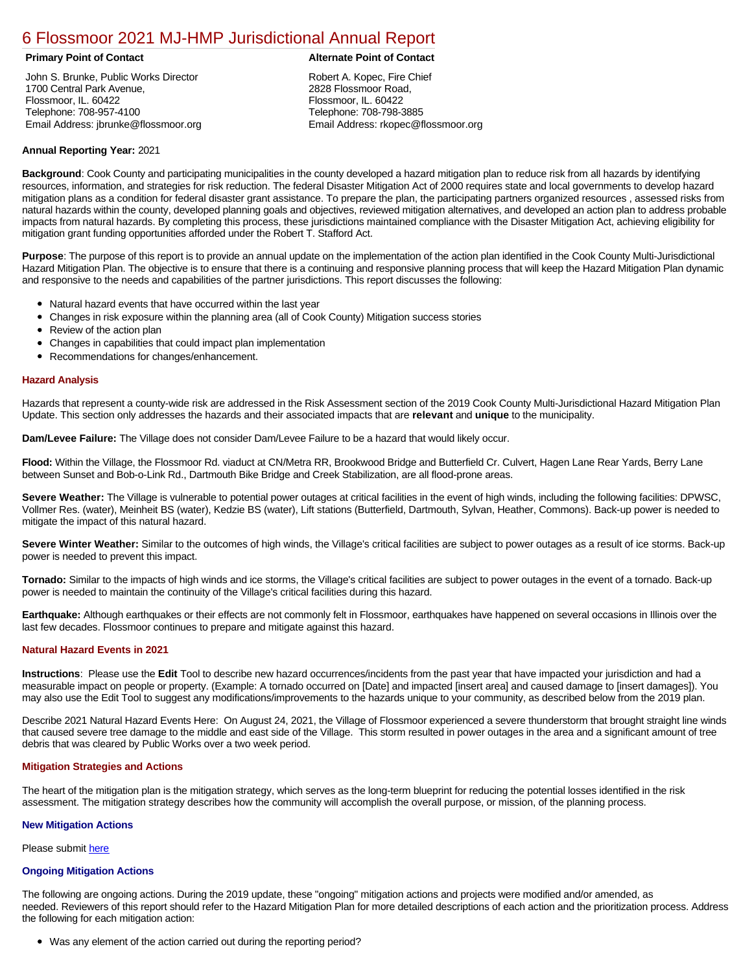## [6 Flossmoor 2021 MJ-HMP Jurisdictional Annual Report](https://flossmoor.isc-cemp.com/Cemp/Details?id=8322832)

John S. Brunke, Public Works Director 1700 Central Park Avenue, Flossmoor, IL. 60422 Telephone: 708-957-4100 Email Address: jbrunke@flossmoor.org

#### **Primary Point of Contact Alternate Point of Contact**

Robert A. Kopec, Fire Chief 2828 Flossmoor Road, Flossmoor, IL. 60422 Telephone: 708-798-3885 Email Address: rkopec@flossmoor.org

### **Annual Reporting Year:** 2021

**Background**: Cook County and participating municipalities in the county developed a hazard mitigation plan to reduce risk from all hazards by identifying resources, information, and strategies for risk reduction. The federal Disaster Mitigation Act of 2000 requires state and local governments to develop hazard mitigation plans as a condition for federal disaster grant assistance. To prepare the plan, the participating partners organized resources , assessed risks from natural hazards within the county, developed planning goals and objectives, reviewed mitigation alternatives, and developed an action plan to address probable impacts from natural hazards. By completing this process, these jurisdictions maintained compliance with the Disaster Mitigation Act, achieving eligibility for mitigation grant funding opportunities afforded under the Robert T. Stafford Act.

**Purpose**: The purpose of this report is to provide an annual update on the implementation of the action plan identified in the Cook County Multi-Jurisdictional Hazard Mitigation Plan. The objective is to ensure that there is a continuing and responsive planning process that will keep the Hazard Mitigation Plan dynamic and responsive to the needs and capabilities of the partner jurisdictions. This report discusses the following:

- Natural hazard events that have occurred within the last year
- $\bullet$ Changes in risk exposure within the planning area (all of Cook County) Mitigation success stories
- Review of the action plan  $\bullet$
- $\bullet$ Changes in capabilities that could impact plan implementation
- Recommendations for changes/enhancement.

#### **Hazard Analysis**

Hazards that represent a county-wide risk are addressed in the Risk Assessment section of the 2019 Cook County Multi-Jurisdictional Hazard Mitigation Plan Update. This section only addresses the hazards and their associated impacts that are **relevant** and **unique** to the municipality.

**Dam/Levee Failure:** The Village does not consider Dam/Levee Failure to be a hazard that would likely occur.

**Flood:** Within the Village, the Flossmoor Rd. viaduct at CN/Metra RR, Brookwood Bridge and Butterfield Cr. Culvert, Hagen Lane Rear Yards, Berry Lane between Sunset and Bob-o-Link Rd., Dartmouth Bike Bridge and Creek Stabilization, are all flood-prone areas.

**Severe Weather:** The Village is vulnerable to potential power outages at critical facilities in the event of high winds, including the following facilities: DPWSC, Vollmer Res. (water), Meinheit BS (water), Kedzie BS (water), Lift stations (Butterfield, Dartmouth, Sylvan, Heather, Commons). Back-up power is needed to mitigate the impact of this natural hazard.

**Severe Winter Weather:** Similar to the outcomes of high winds, the Village's critical facilities are subject to power outages as a result of ice storms. Back-up power is needed to prevent this impact.

**Tornado:** Similar to the impacts of high winds and ice storms, the Village's critical facilities are subject to power outages in the event of a tornado. Back-up power is needed to maintain the continuity of the Village's critical facilities during this hazard.

**Earthquake:** Although earthquakes or their effects are not commonly felt in Flossmoor, earthquakes have happened on several occasions in Illinois over the last few decades. Flossmoor continues to prepare and mitigate against this hazard.

#### **Natural Hazard Events in 2021**

**Instructions**: Please use the **Edit** Tool to describe new hazard occurrences/incidents from the past year that have impacted your jurisdiction and had a measurable impact on people or property. (Example: A tornado occurred on [Date] and impacted [insert area] and caused damage to [insert damages]). You may also use the Edit Tool to suggest any modifications/improvements to the hazards unique to your community, as described below from the 2019 plan.

Describe 2021 Natural Hazard Events Here: On August 24, 2021, the Village of Flossmoor experienced a severe thunderstorm that brought straight line winds that caused severe tree damage to the middle and east side of the Village. This storm resulted in power outages in the area and a significant amount of tree debris that was cleared by Public Works over a two week period.

#### **Mitigation Strategies and Actions**

The heart of the mitigation plan is the mitigation strategy, which serves as the long-term blueprint for reducing the potential losses identified in the risk assessment. The mitigation strategy describes how the community will accomplish the overall purpose, or mission, of the planning process.

#### **New Mitigation Actions**

Please submit [here](https://integratedsolutions.wufoo.com/forms/mg21jvf0jn639o/)

#### **Ongoing Mitigation Actions**

The following are ongoing actions. During the 2019 update, these "ongoing" mitigation actions and projects were modified and/or amended, as needed. Reviewers of this report should refer to the Hazard Mitigation Plan for more detailed descriptions of each action and the prioritization process. Address the following for each mitigation action:

Was any element of the action carried out during the reporting period?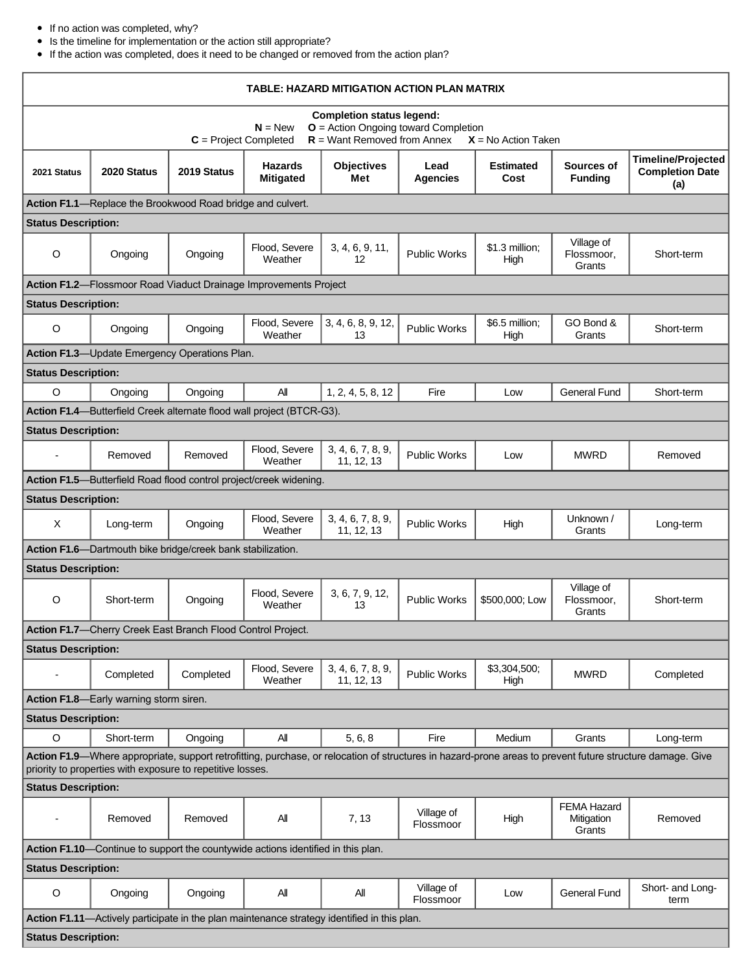### If no action was completed, why?

Is the timeline for implementation or the action still appropriate?

If the action was completed, does it need to be changed or removed from the action plan?

| TABLE: HAZARD MITIGATION ACTION PLAN MATRIX                                                                                                                                                                             |                                                                                             |             |                                    |                                 |                         |                          |                                            |                                                            |
|-------------------------------------------------------------------------------------------------------------------------------------------------------------------------------------------------------------------------|---------------------------------------------------------------------------------------------|-------------|------------------------------------|---------------------------------|-------------------------|--------------------------|--------------------------------------------|------------------------------------------------------------|
| <b>Completion status legend:</b><br><b>O</b> = Action Ongoing toward Completion<br>$N = New$<br>$R =$ Want Removed from Annex<br>$C = Project Completed$<br>$X = No$ Action Taken                                       |                                                                                             |             |                                    |                                 |                         |                          |                                            |                                                            |
| 2021 Status                                                                                                                                                                                                             | 2020 Status                                                                                 | 2019 Status | <b>Hazards</b><br><b>Mitigated</b> | <b>Objectives</b><br>Met        | Lead<br>Agencies        | <b>Estimated</b><br>Cost | Sources of<br><b>Funding</b>               | <b>Timeline/Projected</b><br><b>Completion Date</b><br>(a) |
|                                                                                                                                                                                                                         | Action F1.1-Replace the Brookwood Road bridge and culvert.                                  |             |                                    |                                 |                         |                          |                                            |                                                            |
| <b>Status Description:</b>                                                                                                                                                                                              |                                                                                             |             |                                    |                                 |                         |                          |                                            |                                                            |
| $\circ$                                                                                                                                                                                                                 | Ongoing                                                                                     | Ongoing     | Flood, Severe<br>Weather           | 3, 4, 6, 9, 11,<br>12           | <b>Public Works</b>     | \$1.3 million;<br>High   | Village of<br>Flossmoor.<br>Grants         | Short-term                                                 |
|                                                                                                                                                                                                                         | Action F1.2-Flossmoor Road Viaduct Drainage Improvements Project                            |             |                                    |                                 |                         |                          |                                            |                                                            |
| <b>Status Description:</b>                                                                                                                                                                                              |                                                                                             |             |                                    |                                 |                         |                          |                                            |                                                            |
| O                                                                                                                                                                                                                       | Ongoing                                                                                     | Ongoing     | Flood, Severe<br>Weather           | 3, 4, 6, 8, 9, 12,<br>13        | <b>Public Works</b>     | \$6.5 million;<br>High   | GO Bond &<br>Grants                        | Short-term                                                 |
|                                                                                                                                                                                                                         | Action F1.3-Update Emergency Operations Plan.                                               |             |                                    |                                 |                         |                          |                                            |                                                            |
| <b>Status Description:</b>                                                                                                                                                                                              |                                                                                             |             |                                    |                                 |                         |                          |                                            |                                                            |
| $\circ$                                                                                                                                                                                                                 | Ongoing                                                                                     | Ongoing     | All                                | 1, 2, 4, 5, 8, 12               | Fire                    | Low                      | <b>General Fund</b>                        | Short-term                                                 |
|                                                                                                                                                                                                                         | Action F1.4-Butterfield Creek alternate flood wall project (BTCR-G3).                       |             |                                    |                                 |                         |                          |                                            |                                                            |
| <b>Status Description:</b>                                                                                                                                                                                              |                                                                                             |             |                                    |                                 |                         |                          |                                            |                                                            |
|                                                                                                                                                                                                                         | Removed                                                                                     | Removed     | Flood, Severe<br>Weather           | 3, 4, 6, 7, 8, 9,<br>11, 12, 13 | <b>Public Works</b>     | Low                      | <b>MWRD</b>                                | Removed                                                    |
|                                                                                                                                                                                                                         | Action F1.5-Butterfield Road flood control project/creek widening.                          |             |                                    |                                 |                         |                          |                                            |                                                            |
| <b>Status Description:</b>                                                                                                                                                                                              |                                                                                             |             |                                    |                                 |                         |                          |                                            |                                                            |
| X                                                                                                                                                                                                                       | Long-term                                                                                   | Ongoing     | Flood, Severe<br>Weather           | 3, 4, 6, 7, 8, 9,<br>11, 12, 13 | <b>Public Works</b>     | High                     | Unknown /<br>Grants                        | Long-term                                                  |
|                                                                                                                                                                                                                         | Action F1.6-Dartmouth bike bridge/creek bank stabilization.                                 |             |                                    |                                 |                         |                          |                                            |                                                            |
| <b>Status Description:</b>                                                                                                                                                                                              |                                                                                             |             |                                    |                                 |                         |                          |                                            |                                                            |
| O                                                                                                                                                                                                                       | Short-term                                                                                  | Ongoing     | Flood, Severe<br>Weather           | 3, 6, 7, 9, 12,<br>13           | <b>Public Works</b>     | \$500,000; Low           | Village of<br>Flossmoor,<br>Grants         | Short-term                                                 |
|                                                                                                                                                                                                                         | Action F1.7-Cherry Creek East Branch Flood Control Project.                                 |             |                                    |                                 |                         |                          |                                            |                                                            |
| <b>Status Description:</b>                                                                                                                                                                                              |                                                                                             |             |                                    |                                 |                         |                          |                                            |                                                            |
|                                                                                                                                                                                                                         | Completed                                                                                   | Completed   | Flood, Severe<br>Weather           | 3, 4, 6, 7, 8, 9,<br>11, 12, 13 | <b>Public Works</b>     | \$3,304,500;<br>High     | <b>MWRD</b>                                | Completed                                                  |
|                                                                                                                                                                                                                         | Action F1.8-Early warning storm siren.                                                      |             |                                    |                                 |                         |                          |                                            |                                                            |
| <b>Status Description:</b>                                                                                                                                                                                              |                                                                                             |             |                                    |                                 |                         |                          |                                            |                                                            |
| $\circ$                                                                                                                                                                                                                 | Short-term                                                                                  | Ongoing     | All                                | 5, 6, 8                         | Fire                    | Medium                   | Grants                                     | Long-term                                                  |
| Action F1.9—Where appropriate, support retrofitting, purchase, or relocation of structures in hazard-prone areas to prevent future structure damage. Give<br>priority to properties with exposure to repetitive losses. |                                                                                             |             |                                    |                                 |                         |                          |                                            |                                                            |
| <b>Status Description:</b>                                                                                                                                                                                              |                                                                                             |             |                                    |                                 |                         |                          |                                            |                                                            |
|                                                                                                                                                                                                                         | Removed                                                                                     | Removed     | All                                | 7, 13                           | Village of<br>Flossmoor | High                     | <b>FEMA Hazard</b><br>Mitigation<br>Grants | Removed                                                    |
| Action F1.10-Continue to support the countywide actions identified in this plan.                                                                                                                                        |                                                                                             |             |                                    |                                 |                         |                          |                                            |                                                            |
| <b>Status Description:</b>                                                                                                                                                                                              |                                                                                             |             |                                    |                                 |                         |                          |                                            |                                                            |
| $\circ$                                                                                                                                                                                                                 | Ongoing                                                                                     | Ongoing     | All                                | All                             | Village of<br>Flossmoor | Low                      | <b>General Fund</b>                        | Short- and Long-<br>term                                   |
|                                                                                                                                                                                                                         | Action F1.11-Actively participate in the plan maintenance strategy identified in this plan. |             |                                    |                                 |                         |                          |                                            |                                                            |
| <b>Status Description:</b>                                                                                                                                                                                              |                                                                                             |             |                                    |                                 |                         |                          |                                            |                                                            |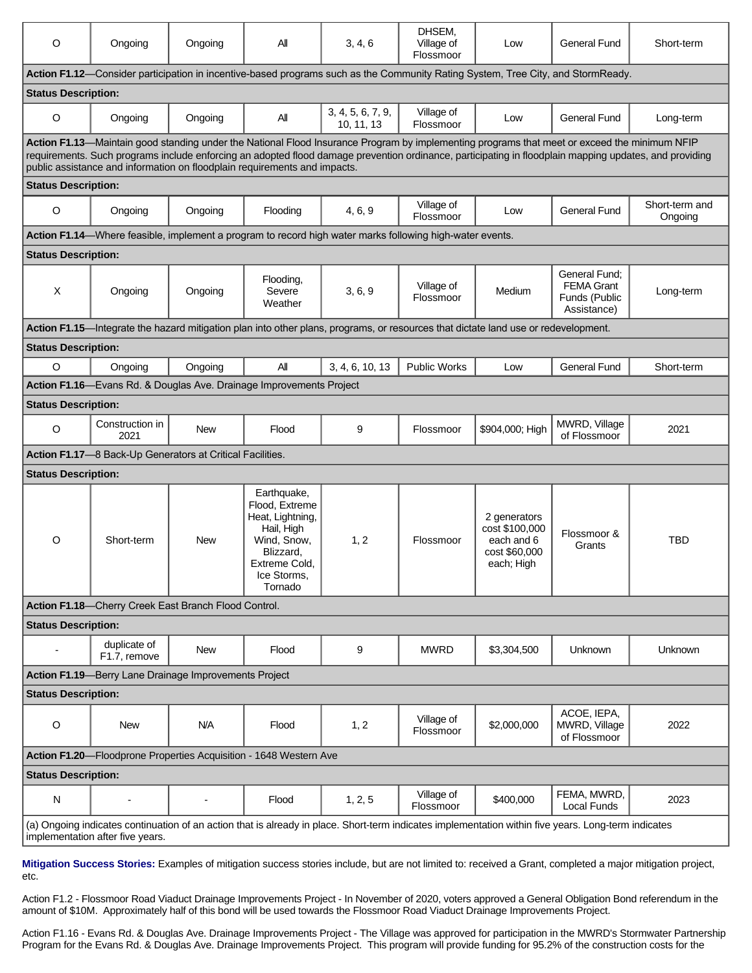| O                                                                                                                                                                                        | Ongoing                                                                                                                                                                                                                   | Ongoing    | Αll                                                                                                                                    | 3, 4, 6                         | DHSEM.<br>Village of<br>Flossmoor | Low                                                                         | General Fund                                                       | Short-term                                                                                                                                             |
|------------------------------------------------------------------------------------------------------------------------------------------------------------------------------------------|---------------------------------------------------------------------------------------------------------------------------------------------------------------------------------------------------------------------------|------------|----------------------------------------------------------------------------------------------------------------------------------------|---------------------------------|-----------------------------------|-----------------------------------------------------------------------------|--------------------------------------------------------------------|--------------------------------------------------------------------------------------------------------------------------------------------------------|
|                                                                                                                                                                                          | Action F1.12—Consider participation in incentive-based programs such as the Community Rating System, Tree City, and StormReady.                                                                                           |            |                                                                                                                                        |                                 |                                   |                                                                             |                                                                    |                                                                                                                                                        |
| <b>Status Description:</b>                                                                                                                                                               |                                                                                                                                                                                                                           |            |                                                                                                                                        |                                 |                                   |                                                                             |                                                                    |                                                                                                                                                        |
| $\circ$                                                                                                                                                                                  | Ongoing                                                                                                                                                                                                                   | Ongoing    | All                                                                                                                                    | 3, 4, 5, 6, 7, 9,<br>10, 11, 13 | Village of<br>Flossmoor           | Low                                                                         | <b>General Fund</b>                                                | Long-term                                                                                                                                              |
|                                                                                                                                                                                          | Action F1.13-Maintain good standing under the National Flood Insurance Program by implementing programs that meet or exceed the minimum NFIP<br>public assistance and information on floodplain requirements and impacts. |            |                                                                                                                                        |                                 |                                   |                                                                             |                                                                    | requirements. Such programs include enforcing an adopted flood damage prevention ordinance, participating in floodplain mapping updates, and providing |
| <b>Status Description:</b>                                                                                                                                                               |                                                                                                                                                                                                                           |            |                                                                                                                                        |                                 |                                   |                                                                             |                                                                    |                                                                                                                                                        |
| $\circ$                                                                                                                                                                                  | Ongoing                                                                                                                                                                                                                   | Ongoing    | Flooding                                                                                                                               | 4, 6, 9                         | Village of<br>Flossmoor           | Low                                                                         | General Fund                                                       | Short-term and<br>Ongoing                                                                                                                              |
|                                                                                                                                                                                          | Action F1.14—Where feasible, implement a program to record high water marks following high-water events.                                                                                                                  |            |                                                                                                                                        |                                 |                                   |                                                                             |                                                                    |                                                                                                                                                        |
| <b>Status Description:</b>                                                                                                                                                               |                                                                                                                                                                                                                           |            |                                                                                                                                        |                                 |                                   |                                                                             |                                                                    |                                                                                                                                                        |
| $\sf X$                                                                                                                                                                                  | Ongoing                                                                                                                                                                                                                   | Ongoing    | Flooding,<br>Severe<br>Weather                                                                                                         | 3, 6, 9                         | Village of<br>Flossmoor           | Medium                                                                      | General Fund:<br><b>FEMA Grant</b><br>Funds (Public<br>Assistance) | Long-term                                                                                                                                              |
|                                                                                                                                                                                          | Action F1.15-Integrate the hazard mitigation plan into other plans, programs, or resources that dictate land use or redevelopment.                                                                                        |            |                                                                                                                                        |                                 |                                   |                                                                             |                                                                    |                                                                                                                                                        |
| <b>Status Description:</b>                                                                                                                                                               |                                                                                                                                                                                                                           |            |                                                                                                                                        |                                 |                                   |                                                                             |                                                                    |                                                                                                                                                        |
| O                                                                                                                                                                                        | Ongoing                                                                                                                                                                                                                   | Ongoing    | All                                                                                                                                    | 3, 4, 6, 10, 13                 | <b>Public Works</b>               | Low                                                                         | <b>General Fund</b>                                                | Short-term                                                                                                                                             |
|                                                                                                                                                                                          | Action F1.16-Evans Rd. & Douglas Ave. Drainage Improvements Project                                                                                                                                                       |            |                                                                                                                                        |                                 |                                   |                                                                             |                                                                    |                                                                                                                                                        |
| <b>Status Description:</b>                                                                                                                                                               |                                                                                                                                                                                                                           |            |                                                                                                                                        |                                 |                                   |                                                                             |                                                                    |                                                                                                                                                        |
| $\circ$                                                                                                                                                                                  | Construction in<br>2021                                                                                                                                                                                                   | <b>New</b> | Flood                                                                                                                                  | 9                               | Flossmoor                         | \$904,000; High                                                             | MWRD, Village<br>of Flossmoor                                      | 2021                                                                                                                                                   |
|                                                                                                                                                                                          | Action F1.17-8 Back-Up Generators at Critical Facilities.                                                                                                                                                                 |            |                                                                                                                                        |                                 |                                   |                                                                             |                                                                    |                                                                                                                                                        |
| <b>Status Description:</b>                                                                                                                                                               |                                                                                                                                                                                                                           |            |                                                                                                                                        |                                 |                                   |                                                                             |                                                                    |                                                                                                                                                        |
| O                                                                                                                                                                                        | Short-term                                                                                                                                                                                                                | <b>New</b> | Earthquake,<br>Flood, Extreme<br>Heat, Lightning,<br>Hail, High<br>Wind. Snow.<br>Blizzard,<br>Extreme Cold.<br>Ice Storms,<br>Tornado | 1, 2                            | Flossmoor                         | 2 generators<br>cost \$100,000<br>each and 6<br>cost \$60,000<br>each; High | Flossmoor &<br>Grants                                              | TBD                                                                                                                                                    |
|                                                                                                                                                                                          | Action F1.18-Cherry Creek East Branch Flood Control.                                                                                                                                                                      |            |                                                                                                                                        |                                 |                                   |                                                                             |                                                                    |                                                                                                                                                        |
| <b>Status Description:</b>                                                                                                                                                               |                                                                                                                                                                                                                           |            |                                                                                                                                        |                                 |                                   |                                                                             |                                                                    |                                                                                                                                                        |
|                                                                                                                                                                                          | duplicate of<br>F1.7, remove                                                                                                                                                                                              | New        | Flood                                                                                                                                  | 9                               | <b>MWRD</b>                       | \$3,304,500                                                                 | Unknown                                                            | Unknown                                                                                                                                                |
| Action F1.19-Berry Lane Drainage Improvements Project                                                                                                                                    |                                                                                                                                                                                                                           |            |                                                                                                                                        |                                 |                                   |                                                                             |                                                                    |                                                                                                                                                        |
| <b>Status Description:</b>                                                                                                                                                               |                                                                                                                                                                                                                           |            |                                                                                                                                        |                                 |                                   |                                                                             |                                                                    |                                                                                                                                                        |
| O                                                                                                                                                                                        | New                                                                                                                                                                                                                       | <b>N/A</b> | Flood                                                                                                                                  | 1, 2                            | Village of<br>Flossmoor           | \$2,000,000                                                                 | ACOE, IEPA,<br>MWRD, Village<br>of Flossmoor                       | 2022                                                                                                                                                   |
| Action F1.20-Floodprone Properties Acquisition - 1648 Western Ave                                                                                                                        |                                                                                                                                                                                                                           |            |                                                                                                                                        |                                 |                                   |                                                                             |                                                                    |                                                                                                                                                        |
| <b>Status Description:</b>                                                                                                                                                               |                                                                                                                                                                                                                           |            |                                                                                                                                        |                                 |                                   |                                                                             |                                                                    |                                                                                                                                                        |
| N                                                                                                                                                                                        | $\overline{\phantom{0}}$                                                                                                                                                                                                  |            | Flood                                                                                                                                  | 1, 2, 5                         | Village of<br>Flossmoor           | \$400,000                                                                   | FEMA, MWRD,<br>Local Funds                                         | 2023                                                                                                                                                   |
| (a) Ongoing indicates continuation of an action that is already in place. Short-term indicates implementation within five years. Long-term indicates<br>implementation after five years. |                                                                                                                                                                                                                           |            |                                                                                                                                        |                                 |                                   |                                                                             |                                                                    |                                                                                                                                                        |

**Mitigation Success Stories:** Examples of mitigation success stories include, but are not limited to: received a Grant, completed a major mitigation project, etc.

Action F1.2 - Flossmoor Road Viaduct Drainage Improvements Project - In November of 2020, voters approved a General Obligation Bond referendum in the amount of \$10M. Approximately half of this bond will be used towards the Flossmoor Road Viaduct Drainage Improvements Project.

Action F1.16 - Evans Rd. & Douglas Ave. Drainage Improvements Project - The Village was approved for participation in the MWRD's Stormwater Partnership Program for the Evans Rd. & Douglas Ave. Drainage Improvements Project. This program will provide funding for 95.2% of the construction costs for the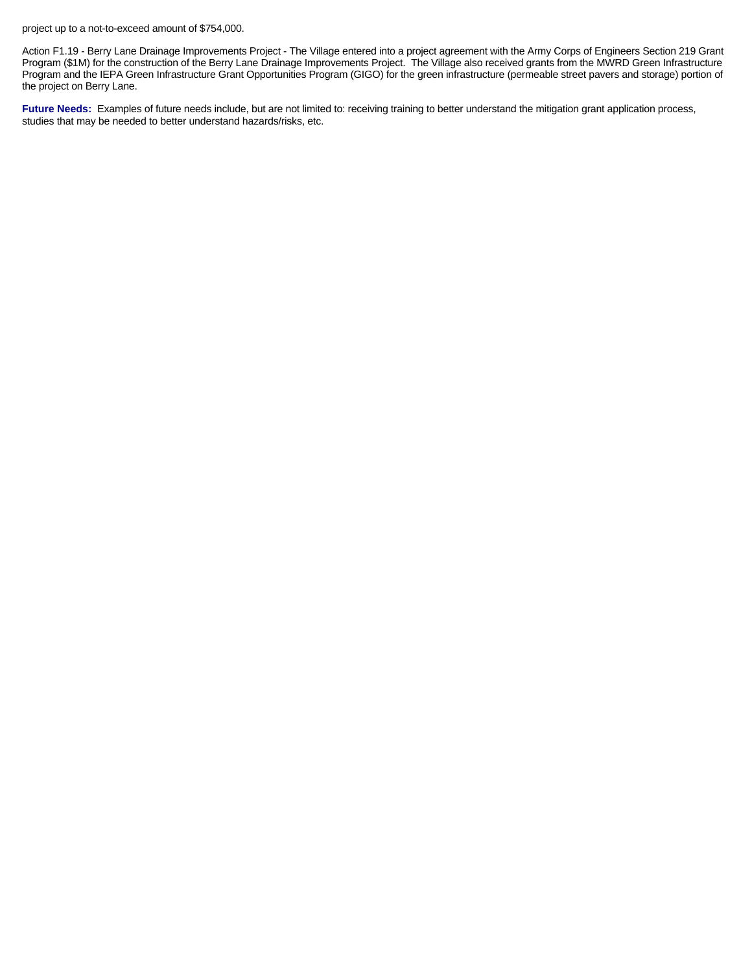project up to a not-to-exceed amount of \$754,000.

Action F1.19 - Berry Lane Drainage Improvements Project - The Village entered into a project agreement with the Army Corps of Engineers Section 219 Grant Program (\$1M) for the construction of the Berry Lane Drainage Improvements Project. The Village also received grants from the MWRD Green Infrastructure Program and the IEPA Green Infrastructure Grant Opportunities Program (GIGO) for the green infrastructure (permeable street pavers and storage) portion of the project on Berry Lane.

Future Needs: Examples of future needs include, but are not limited to: receiving training to better understand the mitigation grant application process, studies that may be needed to better understand hazards/risks, etc.